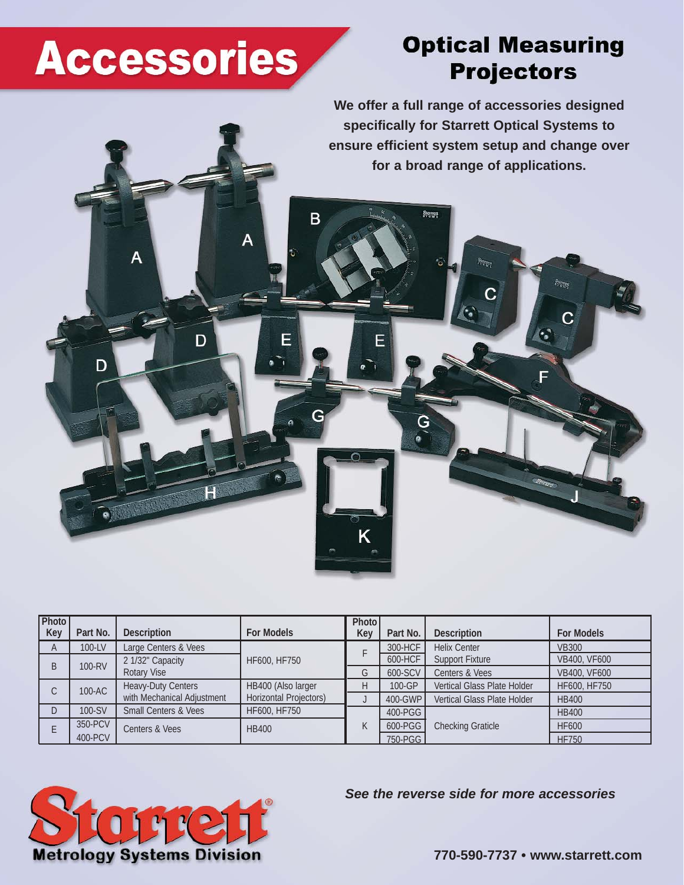# **Accessories**

A

D

D

F

## **Optical Measuring Projectors**

**Storage** 

C

**We offer a full range of accessories designed specifically for Starrett Optical Systems to ensure efficient system setup and change over for a broad range of applications.** 

C

Stores

G

Ē

B

F

| Photo<br>Photo                                                                                               | <b>For Models</b> |
|--------------------------------------------------------------------------------------------------------------|-------------------|
| <b>For Models</b><br>Part No.<br><b>Description</b><br>Key<br>Part No.<br><b>Description</b><br>Key          |                   |
| Large Centers & Vees<br>100-LV<br><b>Helix Center</b><br>300-HCF<br>$\overline{A}$                           | <b>VB300</b>      |
| 600-HCF<br><b>Support Fixture</b><br>2 1/32" Capacity<br>HF600, HF750<br>100-RV<br>B                         | VB400, VF600      |
| Rotary Vise<br>600-SCV<br>Centers & Vees<br>G                                                                | VB400, VF600      |
| <b>Heavy-Duty Centers</b><br>HB400 (Also larger<br>Vertical Glass Plate Holder<br>100-GP<br>Н<br>100-AC<br>С | HF600, HF750      |
| with Mechanical Adjustment<br><b>Horizontal Projectors)</b><br>400-GWP<br>Vertical Glass Plate Holder        | <b>HB400</b>      |
| HF600, HF750<br>100-SV<br><b>Small Centers &amp; Vees</b><br>$\Gamma$<br>400-PGG                             | <b>HB400</b>      |
| 350-PCV<br>600-PGG<br>$\mathsf{K}$<br><b>Checking Graticle</b><br>Centers & Vees<br><b>HB400</b>             | <b>HF600</b>      |
| 400-PCV<br>750-PGG                                                                                           | <b>HF750</b>      |

K



*See the reverse side for more accessories*

**770-590-7737 • www.starrett.com**